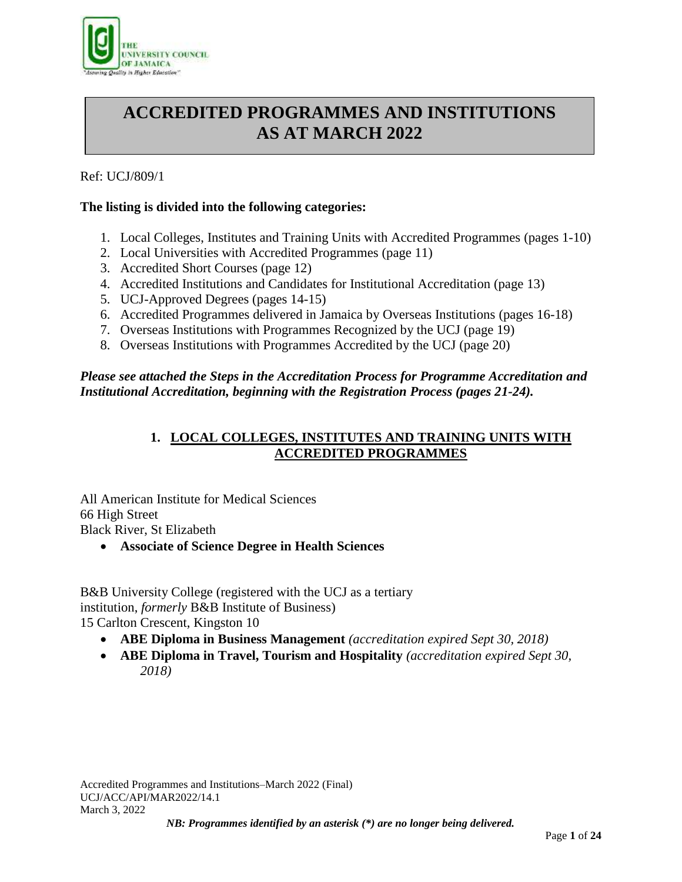

# **ACCREDITED PROGRAMMES AND INSTITUTIONS AS AT MARCH 2022**

# Ref: UCJ/809/1

# **The listing is divided into the following categories:**

- 1. Local Colleges, Institutes and Training Units with Accredited Programmes (pages 1-10)
- 2. Local Universities with Accredited Programmes (page 11)
- 3. Accredited Short Courses (page 12)
- 4. Accredited Institutions and Candidates for Institutional Accreditation (page 13)
- 5. UCJ-Approved Degrees (pages 14-15)
- 6. Accredited Programmes delivered in Jamaica by Overseas Institutions (pages 16-18)
- 7. Overseas Institutions with Programmes Recognized by the UCJ (page 19)
- 8. Overseas Institutions with Programmes Accredited by the UCJ (page 20)

# *Please see attached the Steps in the Accreditation Process for Programme Accreditation and Institutional Accreditation, beginning with the Registration Process (pages 21-24).*

# **1. LOCAL COLLEGES, INSTITUTES AND TRAINING UNITS WITH ACCREDITED PROGRAMMES**

All American Institute for Medical Sciences 66 High Street Black River, St Elizabeth

**Associate of Science Degree in Health Sciences**

B&B University College (registered with the UCJ as a tertiary institution, *formerly* B&B Institute of Business) 15 Carlton Crescent, Kingston 10

- **ABE Diploma in Business Management** *(accreditation expired Sept 30, 2018)*
- **ABE Diploma in Travel, Tourism and Hospitality** *(accreditation expired Sept 30, 2018)*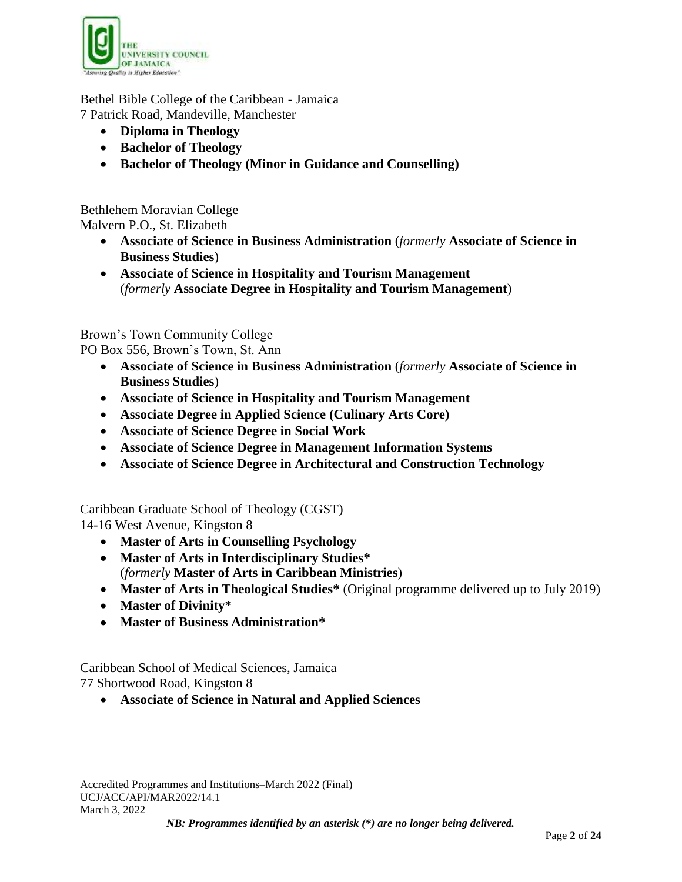

Bethel Bible College of the Caribbean - Jamaica 7 Patrick Road, Mandeville, Manchester

- **Diploma in Theology**
- **Bachelor of Theology**
- **Bachelor of Theology (Minor in Guidance and Counselling)**

Bethlehem Moravian College Malvern P.O., St. Elizabeth

- **Associate of Science in Business Administration** (*formerly* **Associate of Science in Business Studies**)
- **Associate of Science in Hospitality and Tourism Management** (*formerly* **Associate Degree in Hospitality and Tourism Management**)

Brown's Town Community College

PO Box 556, Brown's Town, St. Ann

- **Associate of Science in Business Administration** (*formerly* **Associate of Science in Business Studies**)
- **Associate of Science in Hospitality and Tourism Management**
- **Associate Degree in Applied Science (Culinary Arts Core)**
- **Associate of Science Degree in Social Work**
- **Associate of Science Degree in Management Information Systems**
- **Associate of Science Degree in Architectural and Construction Technology**

Caribbean Graduate School of Theology (CGST)

14-16 West Avenue, Kingston 8

- **Master of Arts in Counselling Psychology**
- **Master of Arts in Interdisciplinary Studies\*** (*formerly* **Master of Arts in Caribbean Ministries**)
- **Master of Arts in Theological Studies\*** (Original programme delivered up to July 2019)
- **Master of Divinity\***
- **Master of Business Administration\***

Caribbean School of Medical Sciences, Jamaica 77 Shortwood Road, Kingston 8

**Associate of Science in Natural and Applied Sciences**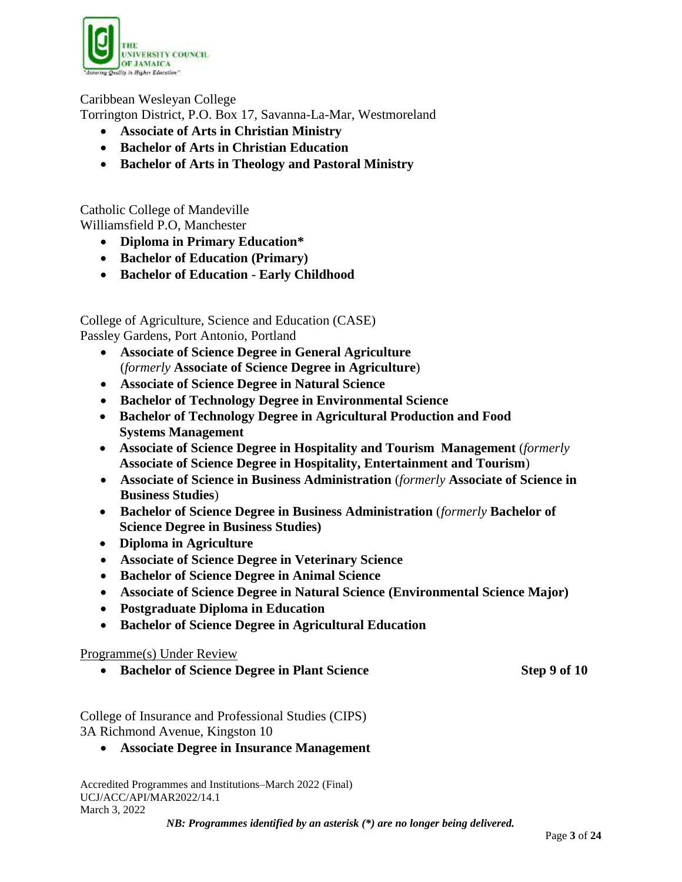

# Caribbean Wesleyan College

Torrington District, P.O. Box 17, Savanna-La-Mar, Westmoreland

- **Associate of Arts in Christian Ministry**
- **Bachelor of Arts in Christian Education**
- **Bachelor of Arts in Theology and Pastoral Ministry**

Catholic College of Mandeville Williamsfield P.O, Manchester

- **Diploma in Primary Education\***
- **Bachelor of Education (Primary)**
- **Bachelor of Education - Early Childhood**

College of Agriculture, Science and Education (CASE) Passley Gardens, Port Antonio, Portland

- **Associate of Science Degree in General Agriculture** (*formerly* **Associate of Science Degree in Agriculture**)
- **Associate of Science Degree in Natural Science**
- **Bachelor of Technology Degree in Environmental Science**
- **Bachelor of Technology Degree in Agricultural Production and Food Systems Management**
- **Associate of Science Degree in Hospitality and Tourism Management** (*formerly*  **Associate of Science Degree in Hospitality, Entertainment and Tourism**)
- **Associate of Science in Business Administration** (*formerly* **Associate of Science in Business Studies**)
- **Bachelor of Science Degree in Business Administration** (*formerly* **Bachelor of Science Degree in Business Studies)**
- **Diploma in Agriculture**
- **Associate of Science Degree in Veterinary Science**
- **Bachelor of Science Degree in Animal Science**
- **Associate of Science Degree in Natural Science (Environmental Science Major)**
- **Postgraduate Diploma in Education**
- **Bachelor of Science Degree in Agricultural Education**

# Programme(s) Under Review

**Bachelor of Science Degree in Plant Science Step 9 of 10**

College of Insurance and Professional Studies (CIPS) 3A Richmond Avenue, Kingston 10

**Associate Degree in Insurance Management**

Accredited Programmes and Institutions–March 2022 (Final) UCJ/ACC/API/MAR2022/14.1 March 3, 2022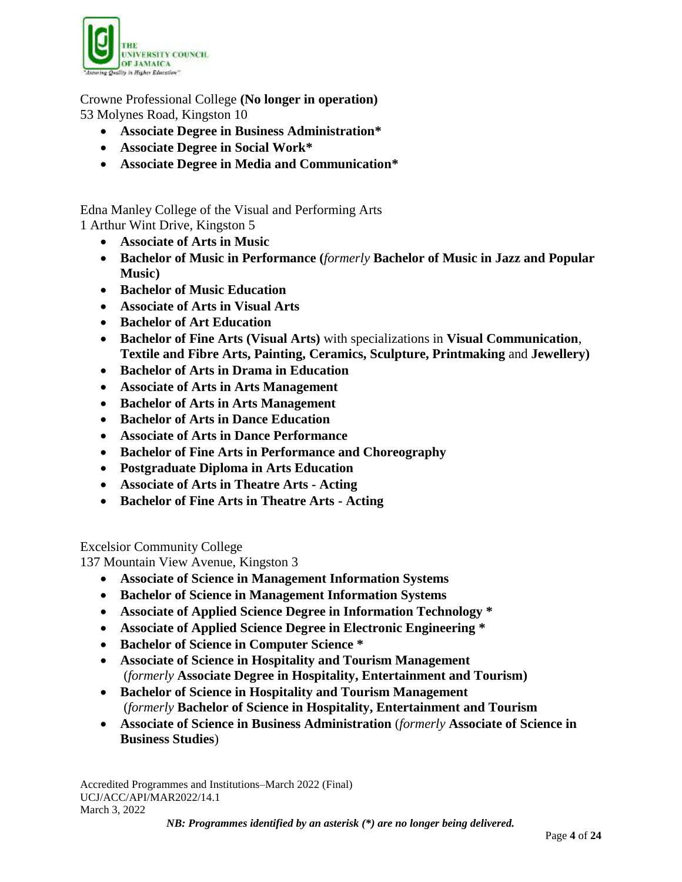

Crowne Professional College **(No longer in operation)** 53 Molynes Road, Kingston 10

- **Associate Degree in Business Administration\***
- **Associate Degree in Social Work\***
- **Associate Degree in Media and Communication\***

Edna Manley College of the Visual and Performing Arts 1 Arthur Wint Drive, Kingston 5

- **Associate of Arts in Music**
- **Bachelor of Music in Performance (***formerly* **Bachelor of Music in Jazz and Popular Music)**
- **Bachelor of Music Education**
- **Associate of Arts in Visual Arts**
- **Bachelor of Art Education**
- **Bachelor of Fine Arts (Visual Arts)** with specializations in **Visual Communication**, **Textile and Fibre Arts, Painting, Ceramics, Sculpture, Printmaking** and **Jewellery)**
- **Bachelor of Arts in Drama in Education**
- **Associate of Arts in Arts Management**
- **Bachelor of Arts in Arts Management**
- **Bachelor of Arts in Dance Education**
- **Associate of Arts in Dance Performance**
- **Bachelor of Fine Arts in Performance and Choreography**
- **Postgraduate Diploma in Arts Education**
- **Associate of Arts in Theatre Arts - Acting**
- **Bachelor of Fine Arts in Theatre Arts - Acting**

Excelsior Community College

137 Mountain View Avenue, Kingston 3

- **Associate of Science in Management Information Systems**
- **Bachelor of Science in Management Information Systems**
- **Associate of Applied Science Degree in Information Technology \***
- **Associate of Applied Science Degree in Electronic Engineering \***
- **Bachelor of Science in Computer Science \***
- **Associate of Science in Hospitality and Tourism Management** (*formerly* **Associate Degree in Hospitality, Entertainment and Tourism)**
- **Bachelor of Science in Hospitality and Tourism Management** (*formerly* **Bachelor of Science in Hospitality, Entertainment and Tourism**
- **Associate of Science in Business Administration** (*formerly* **Associate of Science in Business Studies**)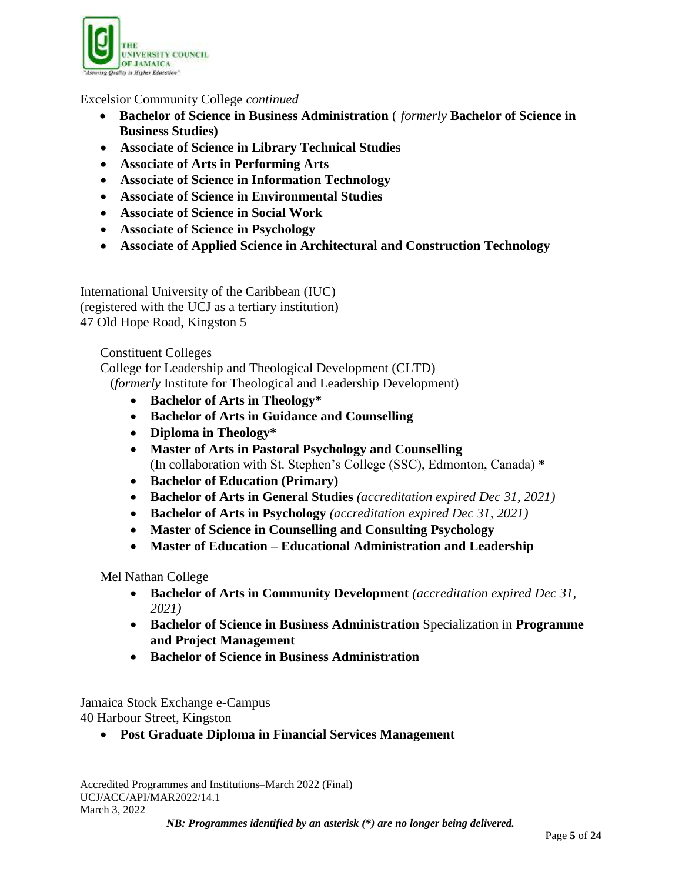

# Excelsior Community College *continued*

- **Bachelor of Science in Business Administration** ( *formerly* **Bachelor of Science in Business Studies)**
- **Associate of Science in Library Technical Studies**
- **Associate of Arts in Performing Arts**
- **Associate of Science in Information Technology**
- **Associate of Science in Environmental Studies**
- **Associate of Science in Social Work**
- **Associate of Science in Psychology**
- **Associate of Applied Science in Architectural and Construction Technology**

International University of the Caribbean (IUC) (registered with the UCJ as a tertiary institution) 47 Old Hope Road, Kingston 5

Constituent Colleges

College for Leadership and Theological Development (CLTD) (*formerly* Institute for Theological and Leadership Development)

- **Bachelor of Arts in Theology\***
- **Bachelor of Arts in Guidance and Counselling**
- **Diploma in Theology\***
- **Master of Arts in Pastoral Psychology and Counselling** (In collaboration with St. Stephen's College (SSC), Edmonton, Canada) **\***
- **Bachelor of Education (Primary)**
- **Bachelor of Arts in General Studies** *(accreditation expired Dec 31, 2021)*
- **Bachelor of Arts in Psychology** *(accreditation expired Dec 31, 2021)*
- **Master of Science in Counselling and Consulting Psychology**
- **Master of Education – Educational Administration and Leadership**

Mel Nathan College

- **Bachelor of Arts in Community Development** *(accreditation expired Dec 31, 2021)*
- **Bachelor of Science in Business Administration** Specialization in **Programme and Project Management**
- **Bachelor of Science in Business Administration**

Jamaica Stock Exchange e-Campus 40 Harbour Street, Kingston

**Post Graduate Diploma in Financial Services Management**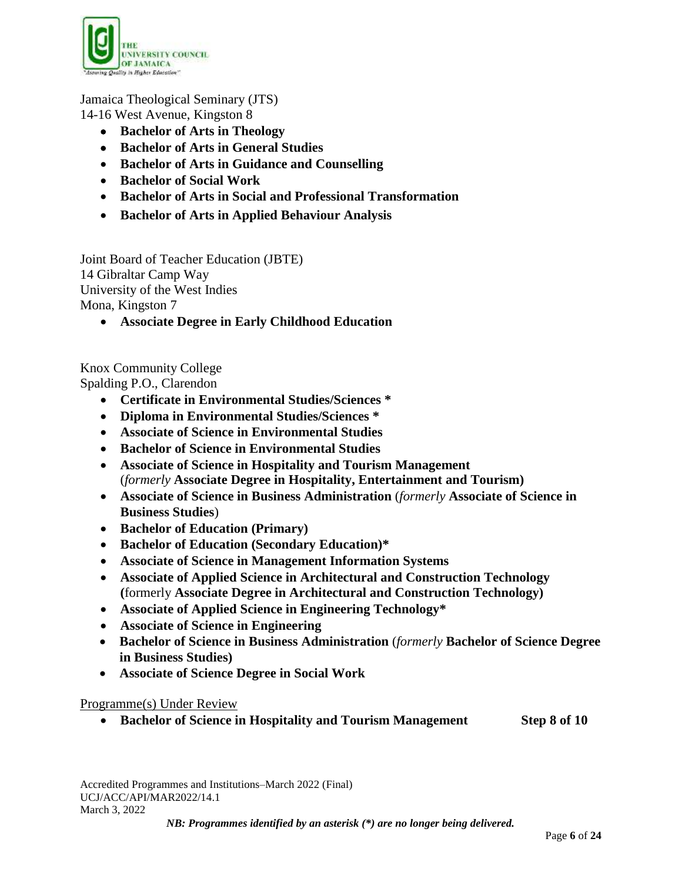

# Jamaica Theological Seminary (JTS)

14-16 West Avenue, Kingston 8

- **Bachelor of Arts in Theology**
- **Bachelor of Arts in General Studies**
- **Bachelor of Arts in Guidance and Counselling**
- **Bachelor of Social Work**
- **Bachelor of Arts in Social and Professional Transformation**
- **Bachelor of Arts in Applied Behaviour Analysis**

Joint Board of Teacher Education (JBTE) 14 Gibraltar Camp Way University of the West Indies Mona, Kingston 7

**Associate Degree in Early Childhood Education**

Knox Community College

Spalding P.O., Clarendon

- **Certificate in Environmental Studies/Sciences \***
- **Diploma in Environmental Studies/Sciences \***
- **Associate of Science in Environmental Studies**
- **Bachelor of Science in Environmental Studies**
- **Associate of Science in Hospitality and Tourism Management** (*formerly* **Associate Degree in Hospitality, Entertainment and Tourism)**
- **Associate of Science in Business Administration** (*formerly* **Associate of Science in Business Studies**)
- **Bachelor of Education (Primary)**
- **Bachelor of Education (Secondary Education)\***
- **Associate of Science in Management Information Systems**
- **Associate of Applied Science in Architectural and Construction Technology (**formerly **Associate Degree in Architectural and Construction Technology)**
- **Associate of Applied Science in Engineering Technology\***
- **Associate of Science in Engineering**
- **Bachelor of Science in Business Administration** (*formerly* **Bachelor of Science Degree in Business Studies)**
- **Associate of Science Degree in Social Work**

# Programme(s) Under Review

**Bachelor of Science in Hospitality and Tourism Management Step 8 of 10**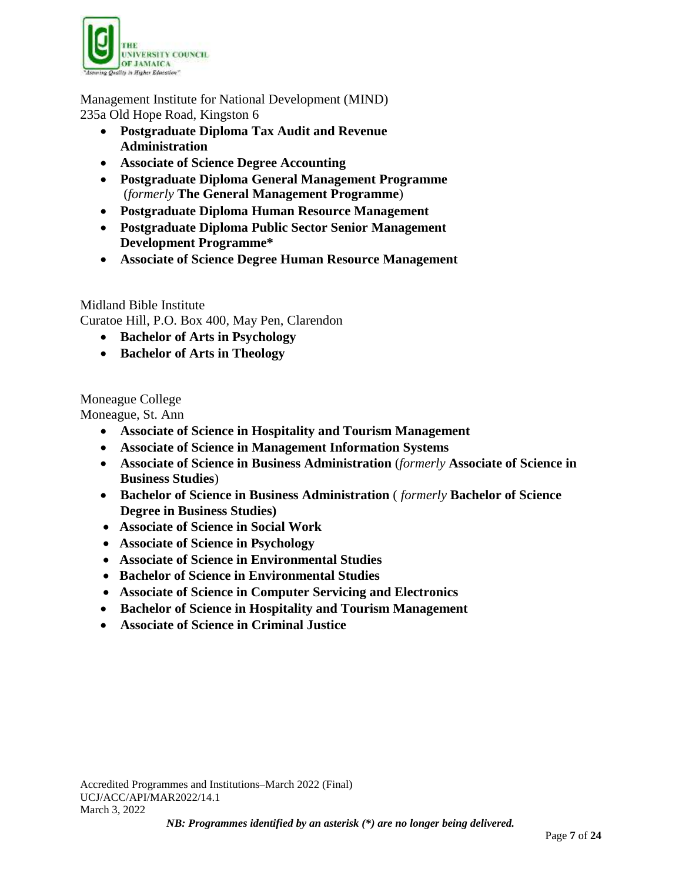![](_page_6_Picture_0.jpeg)

Management Institute for National Development (MIND) 235a Old Hope Road, Kingston 6

- **Postgraduate Diploma Tax Audit and Revenue Administration**
- **Associate of Science Degree Accounting**
- **Postgraduate Diploma General Management Programme** (*formerly* **The General Management Programme**)
- **Postgraduate Diploma Human Resource Management**
- **Postgraduate Diploma Public Sector Senior Management Development Programme\***
- **Associate of Science Degree Human Resource Management**

Midland Bible Institute

Curatoe Hill, P.O. Box 400, May Pen, Clarendon

- **Bachelor of Arts in Psychology**
- **Bachelor of Arts in Theology**

Moneague College

Moneague, St. Ann

- **Associate of Science in Hospitality and Tourism Management**
- **Associate of Science in Management Information Systems**
- **Associate of Science in Business Administration** (*formerly* **Associate of Science in Business Studies**)
- **Bachelor of Science in Business Administration** ( *formerly* **Bachelor of Science Degree in Business Studies)**
- **Associate of Science in Social Work**
- **Associate of Science in Psychology**
- **Associate of Science in Environmental Studies**
- **Bachelor of Science in Environmental Studies**
- **Associate of Science in Computer Servicing and Electronics**
- **Bachelor of Science in Hospitality and Tourism Management**
- **Associate of Science in Criminal Justice**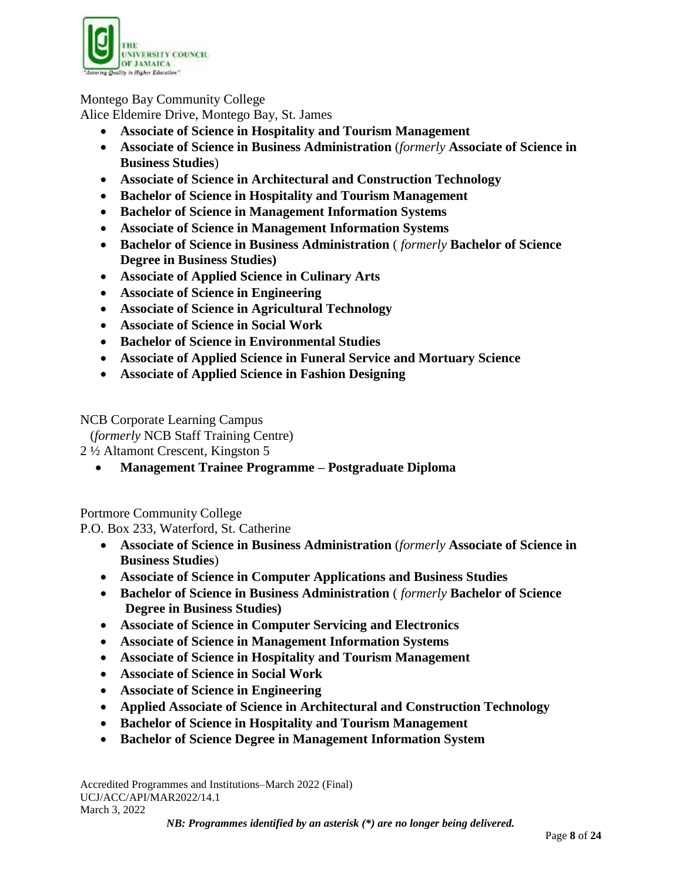![](_page_7_Picture_0.jpeg)

# Montego Bay Community College

Alice Eldemire Drive, Montego Bay, St. James

- **Associate of Science in Hospitality and Tourism Management**
- **Associate of Science in Business Administration** (*formerly* **Associate of Science in Business Studies**)
- **Associate of Science in Architectural and Construction Technology**
- **Bachelor of Science in Hospitality and Tourism Management**
- **Bachelor of Science in Management Information Systems**
- **Associate of Science in Management Information Systems**
- **Bachelor of Science in Business Administration** ( *formerly* **Bachelor of Science Degree in Business Studies)**
- **Associate of Applied Science in Culinary Arts**
- **Associate of Science in Engineering**
- **Associate of Science in Agricultural Technology**
- **Associate of Science in Social Work**
- **Bachelor of Science in Environmental Studies**
- **Associate of Applied Science in Funeral Service and Mortuary Science**
- **Associate of Applied Science in Fashion Designing**

NCB Corporate Learning Campus

(*formerly* NCB Staff Training Centre)

2 ½ Altamont Crescent, Kingston 5

**Management Trainee Programme – Postgraduate Diploma**

Portmore Community College

P.O. Box 233, Waterford, St. Catherine

- **Associate of Science in Business Administration** (*formerly* **Associate of Science in Business Studies**)
- **Associate of Science in Computer Applications and Business Studies**
- **Bachelor of Science in Business Administration** ( *formerly* **Bachelor of Science Degree in Business Studies)**
- **Associate of Science in Computer Servicing and Electronics**
- **Associate of Science in Management Information Systems**
- **Associate of Science in Hospitality and Tourism Management**
- **Associate of Science in Social Work**
- **Associate of Science in Engineering**
- **Applied Associate of Science in Architectural and Construction Technology**
- **Bachelor of Science in Hospitality and Tourism Management**
- **Bachelor of Science Degree in Management Information System**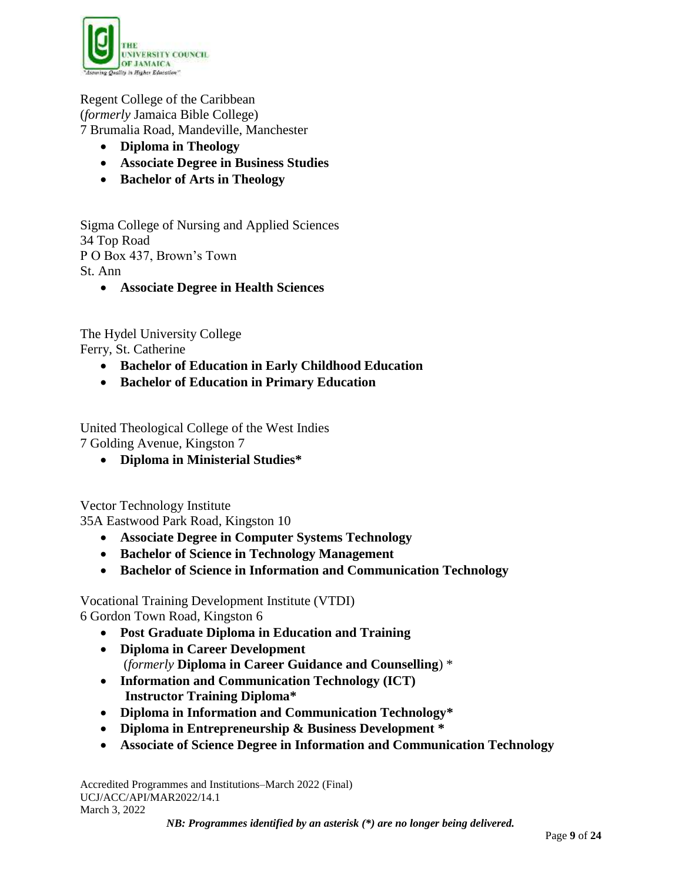![](_page_8_Picture_0.jpeg)

Regent College of the Caribbean (*formerly* Jamaica Bible College) 7 Brumalia Road, Mandeville, Manchester

- **Diploma in Theology**
- **Associate Degree in Business Studies**
- **Bachelor of Arts in Theology**

Sigma College of Nursing and Applied Sciences 34 Top Road P O Box 437, Brown's Town St. Ann

**Associate Degree in Health Sciences**

The Hydel University College Ferry, St. Catherine

- **Bachelor of Education in Early Childhood Education**
- **Bachelor of Education in Primary Education**

United Theological College of the West Indies 7 Golding Avenue, Kingston 7

**Diploma in Ministerial Studies\***

Vector Technology Institute

35A Eastwood Park Road, Kingston 10

- **Associate Degree in Computer Systems Technology**
- **Bachelor of Science in Technology Management**
- **Bachelor of Science in Information and Communication Technology**

Vocational Training Development Institute (VTDI) 6 Gordon Town Road, Kingston 6

- **Post Graduate Diploma in Education and Training**
- **Diploma in Career Development** (*formerly* **Diploma in Career Guidance and Counselling**) \*
- **Information and Communication Technology (ICT) Instructor Training Diploma\***
- **Diploma in Information and Communication Technology\***
- **Diploma in Entrepreneurship & Business Development \***
- **Associate of Science Degree in Information and Communication Technology**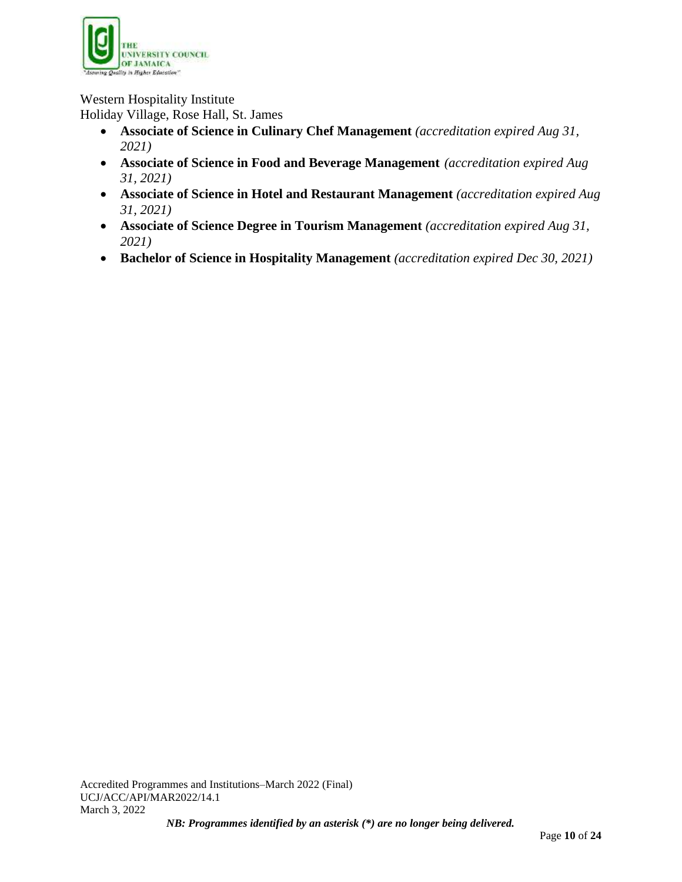![](_page_9_Picture_0.jpeg)

Western Hospitality Institute

Holiday Village, Rose Hall, St. James

- **Associate of Science in Culinary Chef Management** *(accreditation expired Aug 31, 2021)*
- **Associate of Science in Food and Beverage Management** *(accreditation expired Aug 31, 2021)*
- **Associate of Science in Hotel and Restaurant Management** *(accreditation expired Aug 31, 2021)*
- **Associate of Science Degree in Tourism Management** *(accreditation expired Aug 31, 2021)*
- **Bachelor of Science in Hospitality Management** *(accreditation expired Dec 30, 2021)*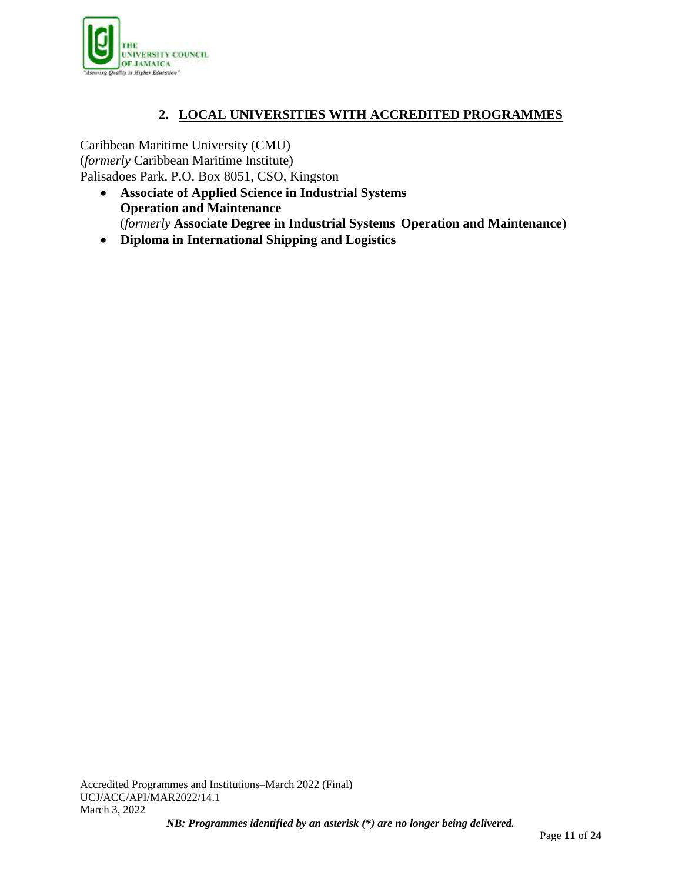![](_page_10_Picture_0.jpeg)

# **2. LOCAL UNIVERSITIES WITH ACCREDITED PROGRAMMES**

Caribbean Maritime University (CMU) (*formerly* Caribbean Maritime Institute) Palisadoes Park, P.O. Box 8051, CSO, Kingston

- **Associate of Applied Science in Industrial Systems Operation and Maintenance** (*formerly* **Associate Degree in Industrial Systems Operation and Maintenance**)
- **Diploma in International Shipping and Logistics**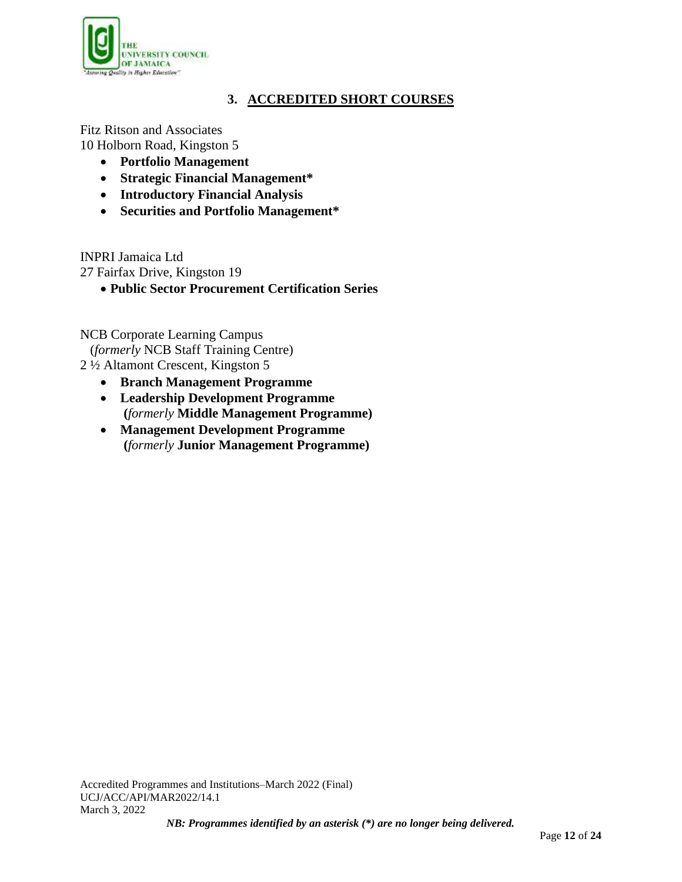![](_page_11_Picture_0.jpeg)

# **3. ACCREDITED SHORT COURSES**

Fitz Ritson and Associates 10 Holborn Road, Kingston 5

- **Portfolio Management**
- **Strategic Financial Management\***
- **Introductory Financial Analysis**
- **Securities and Portfolio Management\***

INPRI Jamaica Ltd

27 Fairfax Drive, Kingston 19

**Public Sector Procurement Certification Series** 

NCB Corporate Learning Campus

(*formerly* NCB Staff Training Centre) 2 ½ Altamont Crescent, Kingston 5

- **Branch Management Programme**
- **Leadership Development Programme (***formerly* **Middle Management Programme)**
- **Management Development Programme (***formerly* **Junior Management Programme)**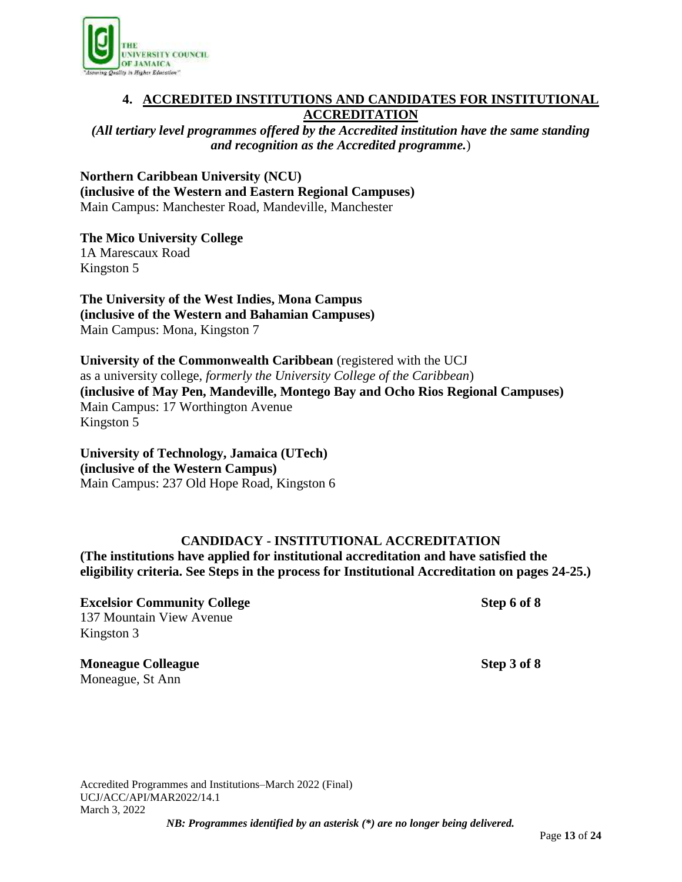![](_page_12_Picture_0.jpeg)

# **4. ACCREDITED INSTITUTIONS AND CANDIDATES FOR INSTITUTIONAL ACCREDITATION**

*(All tertiary level programmes offered by the Accredited institution have the same standing and recognition as the Accredited programme.*)

**Northern Caribbean University (NCU) (inclusive of the Western and Eastern Regional Campuses)** Main Campus: Manchester Road, Mandeville, Manchester

**The Mico University College** 1A Marescaux Road Kingston 5

**The University of the West Indies, Mona Campus (inclusive of the Western and Bahamian Campuses)** Main Campus: Mona, Kingston 7

**University of the Commonwealth Caribbean** (registered with the UCJ as a university college, *formerly the University College of the Caribbean*) **(inclusive of May Pen, Mandeville, Montego Bay and Ocho Rios Regional Campuses)** Main Campus: 17 Worthington Avenue Kingston 5

**University of Technology, Jamaica (UTech) (inclusive of the Western Campus)** Main Campus: 237 Old Hope Road, Kingston 6

# **CANDIDACY - INSTITUTIONAL ACCREDITATION**

**(The institutions have applied for institutional accreditation and have satisfied the eligibility criteria. See Steps in the process for Institutional Accreditation on pages 24-25.)**

**Excelsior Community College Step 6 of 8** 137 Mountain View Avenue Kingston 3

**Moneague Colleague Step 3 of 8** Moneague, St Ann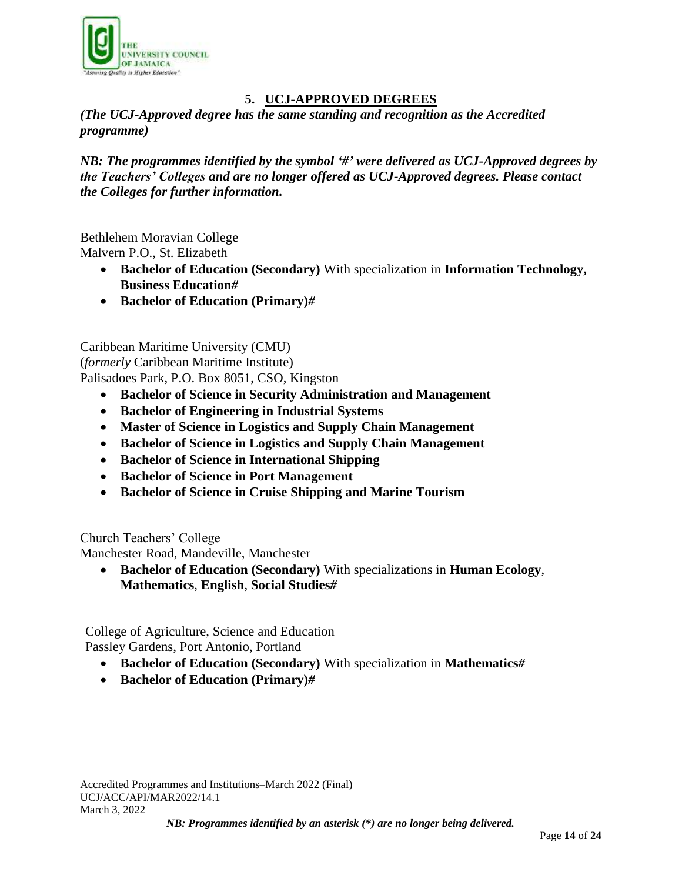![](_page_13_Picture_0.jpeg)

# **5. UCJ-APPROVED DEGREES**

*(The UCJ-Approved degree has the same standing and recognition as the Accredited programme)*

*NB: The programmes identified by the symbol '#' were delivered as UCJ-Approved degrees by the Teachers' Colleges and are no longer offered as UCJ-Approved degrees. Please contact the Colleges for further information.*

Bethlehem Moravian College Malvern P.O., St. Elizabeth

- **Bachelor of Education (Secondary)** With specialization in **Information Technology, Business Education***#*
- **Bachelor of Education (Primary)***#*

Caribbean Maritime University (CMU) (*formerly* Caribbean Maritime Institute) Palisadoes Park, P.O. Box 8051, CSO, Kingston

- **Bachelor of Science in Security Administration and Management**
- **Bachelor of Engineering in Industrial Systems**
- **Master of Science in Logistics and Supply Chain Management**
- **Bachelor of Science in Logistics and Supply Chain Management**
- **Bachelor of Science in International Shipping**
- **Bachelor of Science in Port Management**
- **Bachelor of Science in Cruise Shipping and Marine Tourism**

Church Teachers' College

Manchester Road, Mandeville, Manchester

 **Bachelor of Education (Secondary)** With specializations in **Human Ecology**, **Mathematics**, **English**, **Social Studies***#*

College of Agriculture, Science and Education Passley Gardens, Port Antonio, Portland

- **Bachelor of Education (Secondary)** With specialization in **Mathematics***#*
- **Bachelor of Education (Primary)***#*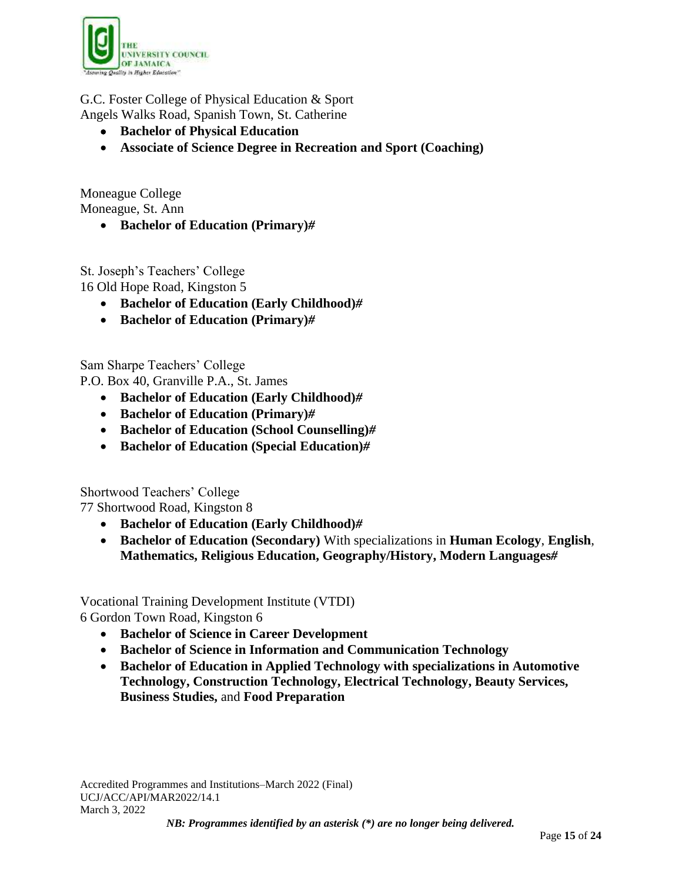![](_page_14_Picture_0.jpeg)

G.C. Foster College of Physical Education & Sport Angels Walks Road, Spanish Town, St. Catherine

- **Bachelor of Physical Education**
- **Associate of Science Degree in Recreation and Sport (Coaching)**

Moneague College Moneague, St. Ann

**Bachelor of Education (Primary)***#*

St. Joseph's Teachers' College 16 Old Hope Road, Kingston 5

- **Bachelor of Education (Early Childhood)***#*
- **Bachelor of Education (Primary)***#*

Sam Sharpe Teachers' College P.O. Box 40, Granville P.A., St. James

- **Bachelor of Education (Early Childhood)***#*
- **Bachelor of Education (Primary)***#*
- **Bachelor of Education (School Counselling)***#*
- **Bachelor of Education (Special Education)***#*

Shortwood Teachers' College

77 Shortwood Road, Kingston 8

- **Bachelor of Education (Early Childhood)***#*
- **Bachelor of Education (Secondary)** With specializations in **Human Ecology**, **English**, **Mathematics, Religious Education, Geography/History, Modern Languages***#*

Vocational Training Development Institute (VTDI) 6 Gordon Town Road, Kingston 6

- **Bachelor of Science in Career Development**
- **Bachelor of Science in Information and Communication Technology**
- **Bachelor of Education in Applied Technology with specializations in Automotive Technology, Construction Technology, Electrical Technology, Beauty Services, Business Studies,** and **Food Preparation**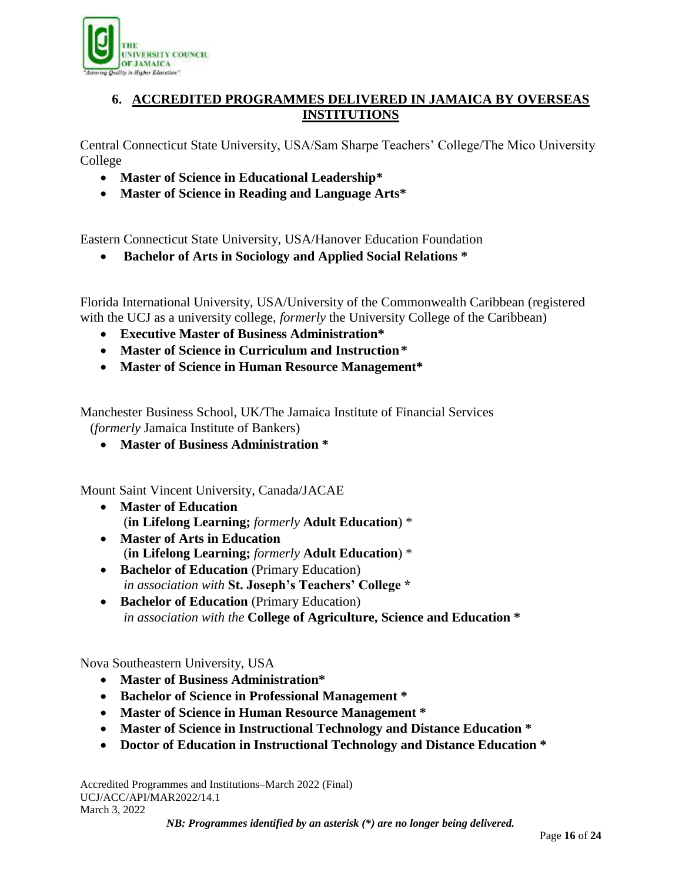![](_page_15_Picture_0.jpeg)

# **6. ACCREDITED PROGRAMMES DELIVERED IN JAMAICA BY OVERSEAS INSTITUTIONS**

Central Connecticut State University, USA/Sam Sharpe Teachers' College/The Mico University College

- **Master of Science in Educational Leadership\***
- **Master of Science in Reading and Language Arts\***

Eastern Connecticut State University, USA/Hanover Education Foundation

**Bachelor of Arts in Sociology and Applied Social Relations \***

Florida International University, USA/University of the Commonwealth Caribbean (registered with the UCJ as a university college, *formerly* the University College of the Caribbean)

- **Executive Master of Business Administration\***
- **Master of Science in Curriculum and Instruction\***
- **Master of Science in Human Resource Management\***

Manchester Business School, UK/The Jamaica Institute of Financial Services (*formerly* Jamaica Institute of Bankers)

**Master of Business Administration \***

Mount Saint Vincent University, Canada/JACAE

- **Master of Education** (**in Lifelong Learning;** *formerly* **Adult Education**) \*
- **Master of Arts in Education** (**in Lifelong Learning;** *formerly* **Adult Education**) \*
- **Bachelor of Education** (Primary Education) *in association with* **St. Joseph's Teachers' College \***
- **Bachelor of Education** (Primary Education) *in association with the* **College of Agriculture, Science and Education \***

Nova Southeastern University, USA

- **Master of Business Administration\***
- **Bachelor of Science in Professional Management \***
- **Master of Science in Human Resource Management \***
- **Master of Science in Instructional Technology and Distance Education \***
- **Doctor of Education in Instructional Technology and Distance Education \***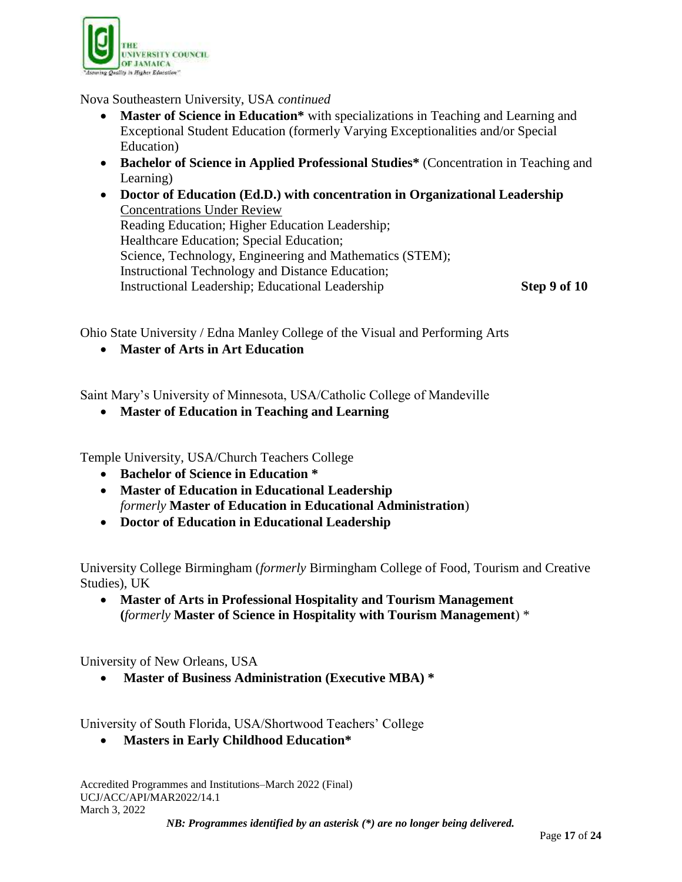![](_page_16_Picture_0.jpeg)

Nova Southeastern University, USA *continued*

- **Master of Science in Education\*** with specializations in Teaching and Learning and Exceptional Student Education (formerly Varying Exceptionalities and/or Special Education)
- **Bachelor of Science in Applied Professional Studies\*** (Concentration in Teaching and Learning)
- **Doctor of Education (Ed.D.) with concentration in Organizational Leadership** Concentrations Under Review Reading Education; Higher Education Leadership; Healthcare Education; Special Education; Science, Technology, Engineering and Mathematics (STEM); Instructional Technology and Distance Education; Instructional Leadership; Educational Leadership **Step 9 of 10**

Ohio State University / Edna Manley College of the Visual and Performing Arts

**Master of Arts in Art Education**

Saint Mary's University of Minnesota, USA/Catholic College of Mandeville

**Master of Education in Teaching and Learning** 

Temple University, USA/Church Teachers College

- **Bachelor of Science in Education \***
- **Master of Education in Educational Leadership** *formerly* **Master of Education in Educational Administration**)
- **Doctor of Education in Educational Leadership**

University College Birmingham (*formerly* Birmingham College of Food, Tourism and Creative Studies), UK

 **Master of Arts in Professional Hospitality and Tourism Management (***formerly* **Master of Science in Hospitality with Tourism Management**) \*

University of New Orleans, USA

**Master of Business Administration (Executive MBA) \***

University of South Florida, USA/Shortwood Teachers' College

**Masters in Early Childhood Education\***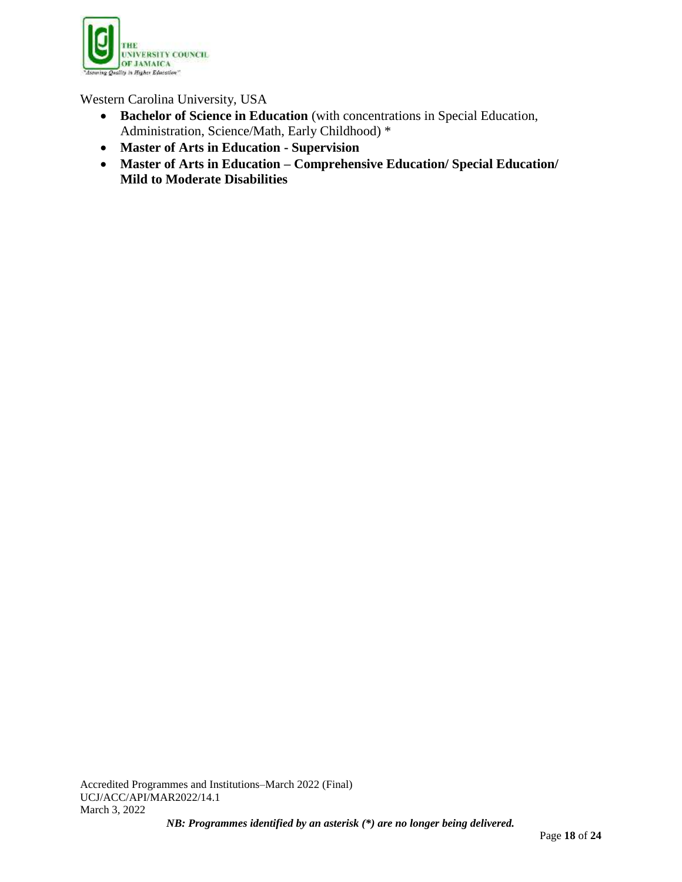![](_page_17_Picture_0.jpeg)

Western Carolina University, USA

- **Bachelor of Science in Education** (with concentrations in Special Education, Administration, Science/Math, Early Childhood) \*
- **Master of Arts in Education - Supervision**
- **Master of Arts in Education – Comprehensive Education/ Special Education/ Mild to Moderate Disabilities**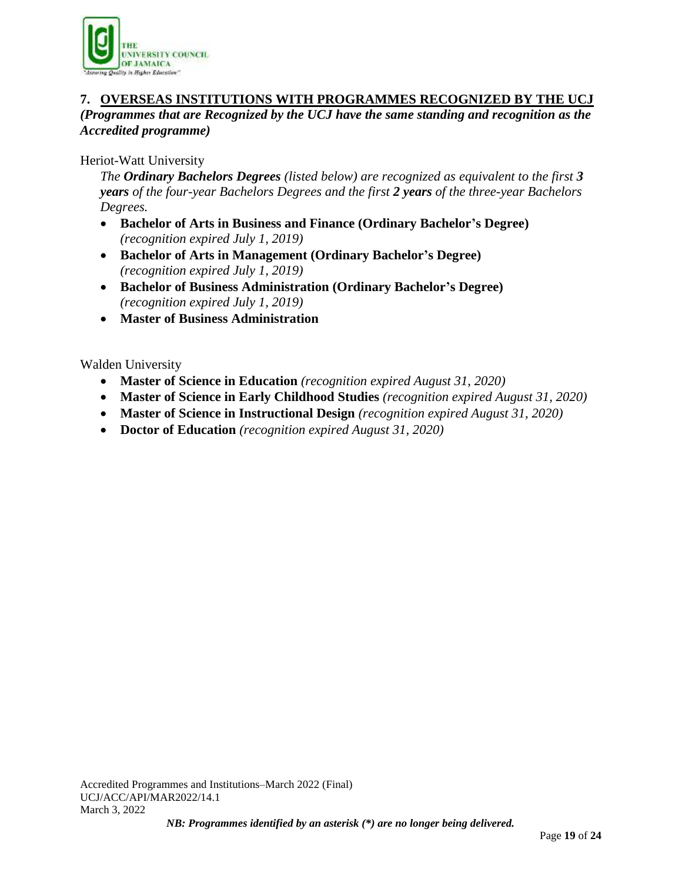![](_page_18_Picture_0.jpeg)

### **7. OVERSEAS INSTITUTIONS WITH PROGRAMMES RECOGNIZED BY THE UCJ** *(Programmes that are Recognized by the UCJ have the same standing and recognition as the Accredited programme)*

# Heriot-Watt University

*The Ordinary Bachelors Degrees (listed below) are recognized as equivalent to the first 3 years of the four-year Bachelors Degrees and the first 2 years of the three-year Bachelors Degrees.*

- **Bachelor of Arts in Business and Finance (Ordinary Bachelor's Degree)**  *(recognition expired July 1, 2019)*
- **Bachelor of Arts in Management (Ordinary Bachelor's Degree)** *(recognition expired July 1, 2019)*
- **Bachelor of Business Administration (Ordinary Bachelor's Degree)** *(recognition expired July 1, 2019)*
- **Master of Business Administration**

Walden University

- **Master of Science in Education** *(recognition expired August 31, 2020)*
- **Master of Science in Early Childhood Studies** *(recognition expired August 31, 2020)*
- **Master of Science in Instructional Design** *(recognition expired August 31, 2020)*
- **Doctor of Education** *(recognition expired August 31, 2020)*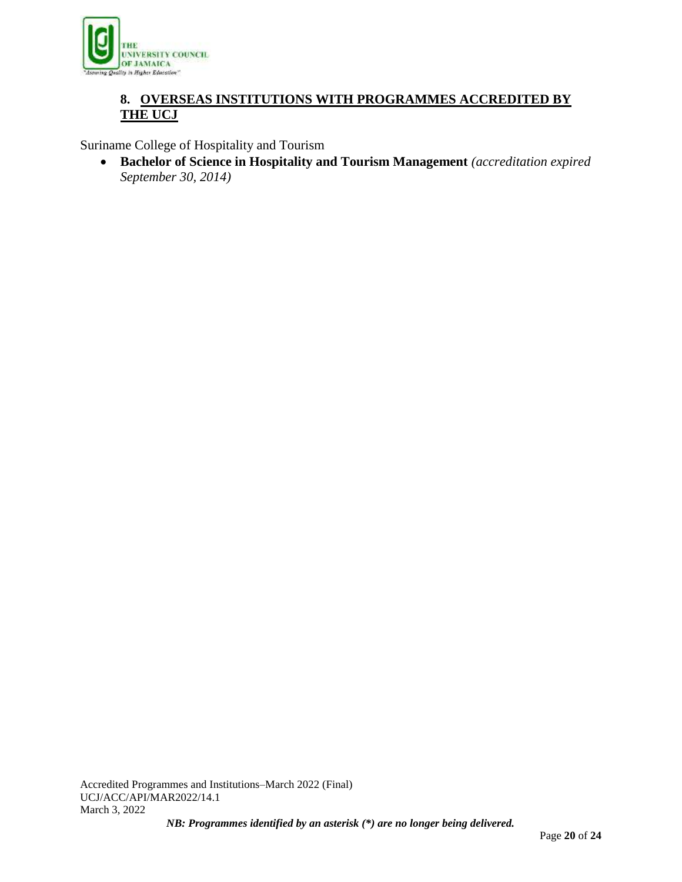![](_page_19_Picture_0.jpeg)

# **8. OVERSEAS INSTITUTIONS WITH PROGRAMMES ACCREDITED BY THE UCJ**

Suriname College of Hospitality and Tourism

 **Bachelor of Science in Hospitality and Tourism Management** *(accreditation expired September 30, 2014)*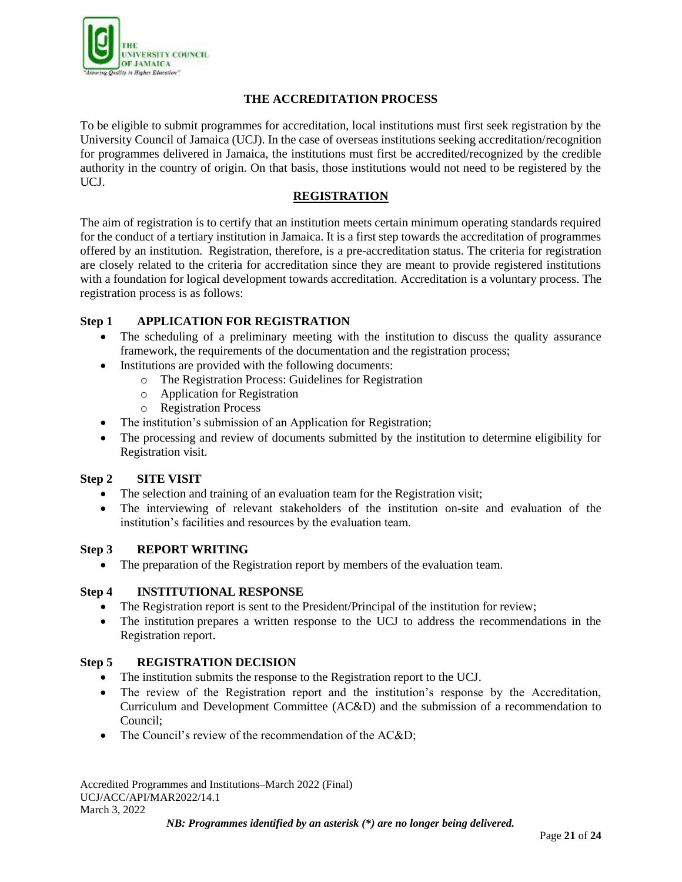![](_page_20_Picture_0.jpeg)

### **THE ACCREDITATION PROCESS**

To be eligible to submit programmes for accreditation, local institutions must first seek registration by the University Council of Jamaica (UCJ). In the case of overseas institutions seeking accreditation/recognition for programmes delivered in Jamaica, the institutions must first be accredited/recognized by the credible authority in the country of origin. On that basis, those institutions would not need to be registered by the UCJ.

### **REGISTRATION**

The aim of registration is to certify that an institution meets certain minimum operating standards required for the conduct of a tertiary institution in Jamaica. It is a first step towards the accreditation of programmes offered by an institution. Registration, therefore, is a pre-accreditation status. The criteria for registration are closely related to the criteria for accreditation since they are meant to provide registered institutions with a foundation for logical development towards accreditation. Accreditation is a voluntary process. The registration process is as follows:

# **Step 1 APPLICATION FOR REGISTRATION**

- The scheduling of a preliminary meeting with the institution to discuss the quality assurance framework, the requirements of the documentation and the registration process;
- Institutions are provided with the following documents:
	- o The Registration Process: Guidelines for Registration
	- o Application for Registration
	- o Registration Process
- The institution's submission of an Application for Registration;
- The processing and review of documents submitted by the institution to determine eligibility for Registration visit.

#### **Step 2 SITE VISIT**

- The selection and training of an evaluation team for the Registration visit;
- The interviewing of relevant stakeholders of the institution on-site and evaluation of the institution's facilities and resources by the evaluation team.

#### **Step 3 REPORT WRITING**

• The preparation of the Registration report by members of the evaluation team.

#### **Step 4 INSTITUTIONAL RESPONSE**

- The Registration report is sent to the President/Principal of the institution for review;
- The institution prepares a written response to the UCJ to address the recommendations in the Registration report.

#### **Step 5 REGISTRATION DECISION**

- The institution submits the response to the Registration report to the UCJ.
- The review of the Registration report and the institution's response by the Accreditation, Curriculum and Development Committee (AC&D) and the submission of a recommendation to Council;
- The Council's review of the recommendation of the AC&D;

Accredited Programmes and Institutions–March 2022 (Final) UCJ/ACC/API/MAR2022/14.1 March 3, 2022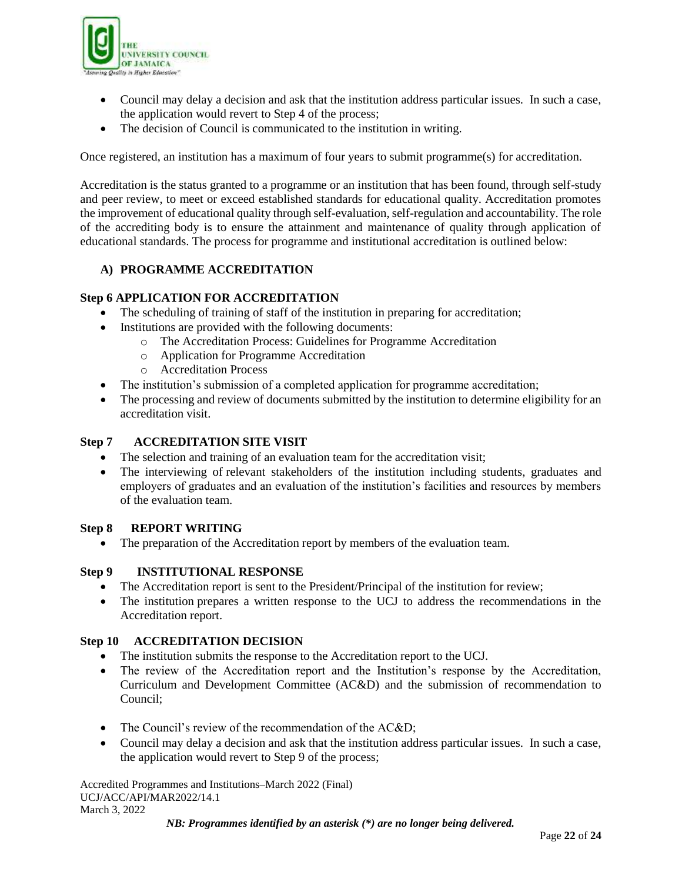![](_page_21_Picture_0.jpeg)

- Council may delay a decision and ask that the institution address particular issues. In such a case, the application would revert to Step 4 of the process;
- The decision of Council is communicated to the institution in writing.

Once registered, an institution has a maximum of four years to submit programme(s) for accreditation.

Accreditation is the status granted to a programme or an institution that has been found, through self-study and peer review, to meet or exceed established standards for educational quality. Accreditation promotes the improvement of educational quality through self-evaluation, self-regulation and accountability. The role of the accrediting body is to ensure the attainment and maintenance of quality through application of educational standards. The process for programme and institutional accreditation is outlined below:

# **A) PROGRAMME ACCREDITATION**

#### **Step 6 APPLICATION FOR ACCREDITATION**

- The scheduling of training of staff of the institution in preparing for accreditation;
- Institutions are provided with the following documents:
	- o The Accreditation Process: Guidelines for Programme Accreditation
	- o Application for Programme Accreditation
	- o Accreditation Process
- The institution's submission of a completed application for programme accreditation;
- The processing and review of documents submitted by the institution to determine eligibility for an accreditation visit.

#### **Step 7 ACCREDITATION SITE VISIT**

- The selection and training of an evaluation team for the accreditation visit;
- The interviewing of relevant stakeholders of the institution including students, graduates and employers of graduates and an evaluation of the institution's facilities and resources by members of the evaluation team.

#### **Step 8 REPORT WRITING**

The preparation of the Accreditation report by members of the evaluation team.

#### **Step 9 INSTITUTIONAL RESPONSE**

- The Accreditation report is sent to the President/Principal of the institution for review;
- The institution prepares a written response to the UCJ to address the recommendations in the Accreditation report.

#### **Step 10 ACCREDITATION DECISION**

- The institution submits the response to the Accreditation report to the UCJ.
- The review of the Accreditation report and the Institution's response by the Accreditation, Curriculum and Development Committee (AC&D) and the submission of recommendation to Council;
- The Council's review of the recommendation of the AC&D;
- Council may delay a decision and ask that the institution address particular issues. In such a case, the application would revert to Step 9 of the process;

Accredited Programmes and Institutions–March 2022 (Final) UCJ/ACC/API/MAR2022/14.1 March 3, 2022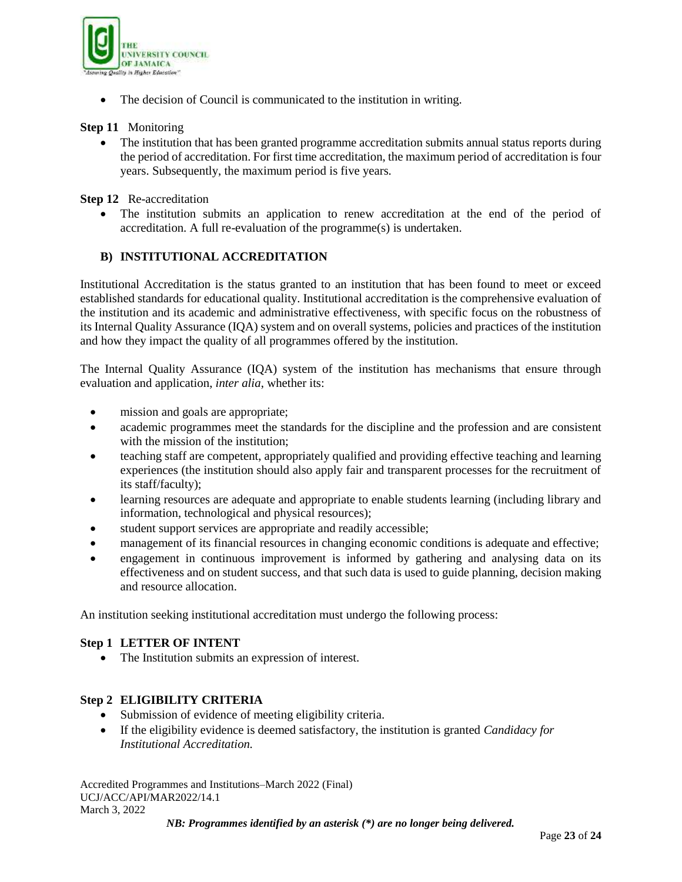![](_page_22_Picture_0.jpeg)

• The decision of Council is communicated to the institution in writing.

#### **Step 11** Monitoring

• The institution that has been granted programme accreditation submits annual status reports during the period of accreditation. For first time accreditation, the maximum period of accreditation is four years. Subsequently, the maximum period is five years.

**Step 12** Re-accreditation

 The institution submits an application to renew accreditation at the end of the period of accreditation. A full re-evaluation of the programme(s) is undertaken.

# **B) INSTITUTIONAL ACCREDITATION**

Institutional Accreditation is the status granted to an institution that has been found to meet or exceed established standards for educational quality. Institutional accreditation is the comprehensive evaluation of the institution and its academic and administrative effectiveness, with specific focus on the robustness of its Internal Quality Assurance (IQA) system and on overall systems, policies and practices of the institution and how they impact the quality of all programmes offered by the institution.

The Internal Quality Assurance (IQA) system of the institution has mechanisms that ensure through evaluation and application, *inter alia*, whether its:

- mission and goals are appropriate;
- academic programmes meet the standards for the discipline and the profession and are consistent with the mission of the institution;
- teaching staff are competent, appropriately qualified and providing effective teaching and learning experiences (the institution should also apply fair and transparent processes for the recruitment of its staff/faculty);
- learning resources are adequate and appropriate to enable students learning (including library and information, technological and physical resources);
- student support services are appropriate and readily accessible;
- management of its financial resources in changing economic conditions is adequate and effective;
- engagement in continuous improvement is informed by gathering and analysing data on its effectiveness and on student success, and that such data is used to guide planning, decision making and resource allocation.

An institution seeking institutional accreditation must undergo the following process:

#### **Step 1 LETTER OF INTENT**

• The Institution submits an expression of interest.

#### **Step 2 ELIGIBILITY CRITERIA**

- Submission of evidence of meeting eligibility criteria.
- If the eligibility evidence is deemed satisfactory, the institution is granted *Candidacy for Institutional Accreditation.*

Accredited Programmes and Institutions–March 2022 (Final) UCJ/ACC/API/MAR2022/14.1 March 3, 2022